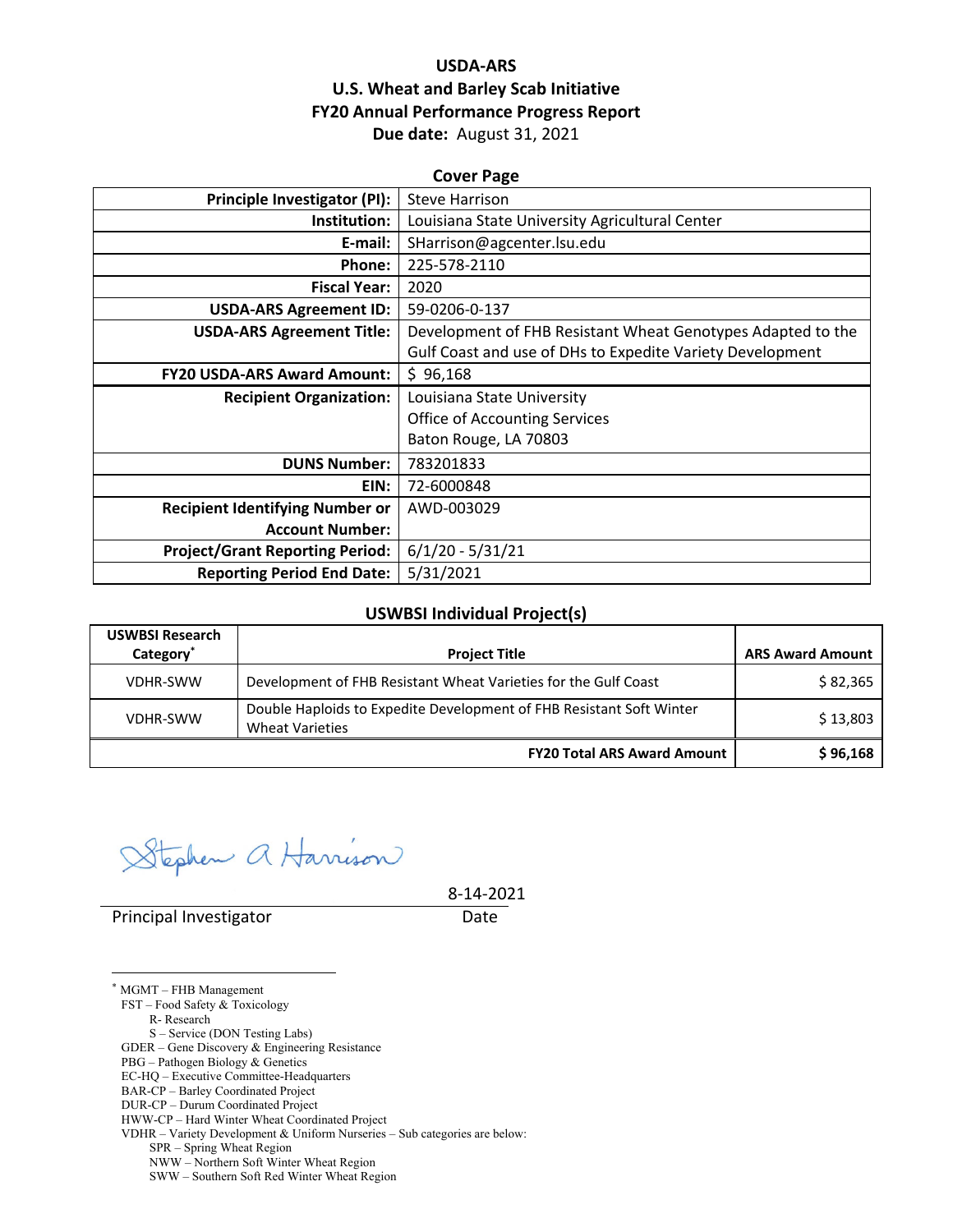## **USDA‐ARS U.S. Wheat and Barley Scab Initiative FY20 Annual Performance Progress Report Due date:** August 31, 2021

| <b>Cover Page</b>                      |                                                             |  |  |  |
|----------------------------------------|-------------------------------------------------------------|--|--|--|
| Principle Investigator (PI):           | <b>Steve Harrison</b>                                       |  |  |  |
| Institution:                           | Louisiana State University Agricultural Center              |  |  |  |
| E-mail:                                | SHarrison@agcenter.lsu.edu                                  |  |  |  |
| Phone:                                 | 225-578-2110                                                |  |  |  |
| <b>Fiscal Year:</b>                    | 2020                                                        |  |  |  |
| <b>USDA-ARS Agreement ID:</b>          | 59-0206-0-137                                               |  |  |  |
| <b>USDA-ARS Agreement Title:</b>       | Development of FHB Resistant Wheat Genotypes Adapted to the |  |  |  |
|                                        | Gulf Coast and use of DHs to Expedite Variety Development   |  |  |  |
| <b>FY20 USDA-ARS Award Amount:</b>     | \$96,168                                                    |  |  |  |
| <b>Recipient Organization:</b>         | Louisiana State University                                  |  |  |  |
|                                        | <b>Office of Accounting Services</b>                        |  |  |  |
|                                        | Baton Rouge, LA 70803                                       |  |  |  |
| <b>DUNS Number:</b>                    | 783201833                                                   |  |  |  |
| EIN:                                   | 72-6000848                                                  |  |  |  |
| <b>Recipient Identifying Number or</b> | AWD-003029                                                  |  |  |  |
| <b>Account Number:</b>                 |                                                             |  |  |  |
| <b>Project/Grant Reporting Period:</b> | $6/1/20 - 5/31/21$                                          |  |  |  |
| <b>Reporting Period End Date:</b>      | 5/31/2021                                                   |  |  |  |

#### **USWBSI Individual Project(s)**

| <b>USWBSI Research</b><br>Category <sup>*</sup> | <b>Project Title</b>                                                                           | <b>ARS Award Amount</b> |
|-------------------------------------------------|------------------------------------------------------------------------------------------------|-------------------------|
| VDHR-SWW                                        | Development of FHB Resistant Wheat Varieties for the Gulf Coast                                | \$82,365                |
| VDHR-SWW                                        | Double Haploids to Expedite Development of FHB Resistant Soft Winter<br><b>Wheat Varieties</b> | \$13,803                |
|                                                 | <b>FY20 Total ARS Award Amount</b>                                                             | \$96,168                |

tephen a Harrison

8‐14‐2021

Principal Investigator **Date** 

<u>.</u>

\* MGMT – FHB Management FST – Food Safety & Toxicology R- Research S – Service (DON Testing Labs) GDER – Gene Discovery & Engineering Resistance PBG – Pathogen Biology & Genetics EC-HQ – Executive Committee-Headquarters BAR-CP – Barley Coordinated Project DUR-CP – Durum Coordinated Project HWW-CP – Hard Winter Wheat Coordinated Project VDHR – Variety Development & Uniform Nurseries – Sub categories are below: SPR – Spring Wheat Region NWW – Northern Soft Winter Wheat Region

SWW – Southern Soft Red Winter Wheat Region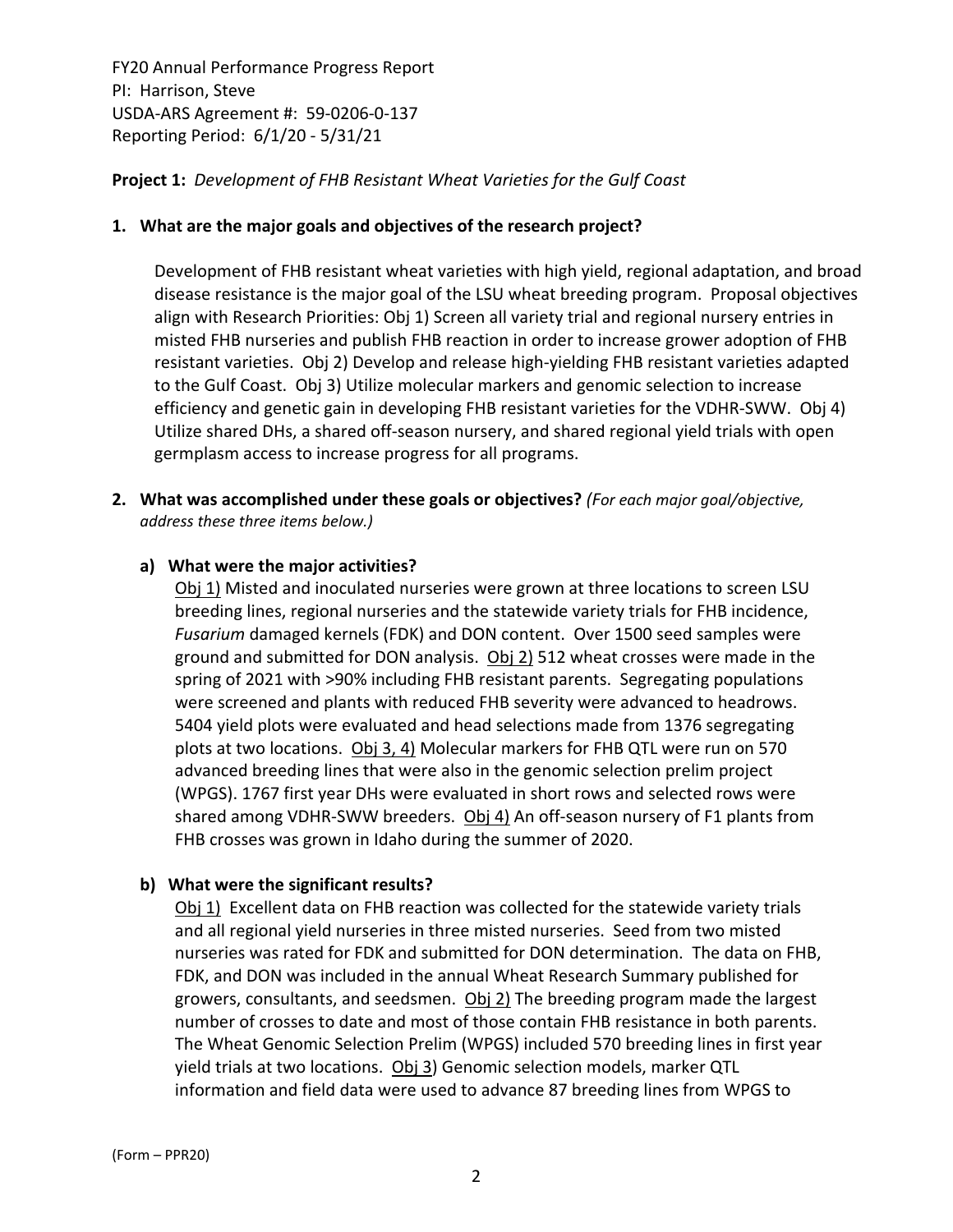## **Project 1:** *Development of FHB Resistant Wheat Varieties for the Gulf Coast*

#### **1. What are the major goals and objectives of the research project?**

Development of FHB resistant wheat varieties with high yield, regional adaptation, and broad disease resistance is the major goal of the LSU wheat breeding program. Proposal objectives align with Research Priorities: Obj 1) Screen all variety trial and regional nursery entries in misted FHB nurseries and publish FHB reaction in order to increase grower adoption of FHB resistant varieties. Obj 2) Develop and release high‐yielding FHB resistant varieties adapted to the Gulf Coast. Obj 3) Utilize molecular markers and genomic selection to increase efficiency and genetic gain in developing FHB resistant varieties for the VDHR‐SWW. Obj 4) Utilize shared DHs, a shared off‐season nursery, and shared regional yield trials with open germplasm access to increase progress for all programs.

**2. What was accomplished under these goals or objectives?** *(For each major goal/objective, address these three items below.)*

#### **a) What were the major activities?**

Obj 1) Misted and inoculated nurseries were grown at three locations to screen LSU breeding lines, regional nurseries and the statewide variety trials for FHB incidence, *Fusarium* damaged kernels (FDK) and DON content. Over 1500 seed samples were ground and submitted for DON analysis. Obj 2) 512 wheat crosses were made in the spring of 2021 with >90% including FHB resistant parents. Segregating populations were screened and plants with reduced FHB severity were advanced to headrows. 5404 yield plots were evaluated and head selections made from 1376 segregating plots at two locations. Obj 3, 4) Molecular markers for FHB QTL were run on 570 advanced breeding lines that were also in the genomic selection prelim project (WPGS). 1767 first year DHs were evaluated in short rows and selected rows were shared among VDHR-SWW breeders. Obj 4) An off-season nursery of F1 plants from FHB crosses was grown in Idaho during the summer of 2020.

#### **b) What were the significant results?**

Obj 1) Excellent data on FHB reaction was collected for the statewide variety trials and all regional yield nurseries in three misted nurseries. Seed from two misted nurseries was rated for FDK and submitted for DON determination. The data on FHB, FDK, and DON was included in the annual Wheat Research Summary published for growers, consultants, and seedsmen. Obj 2) The breeding program made the largest number of crosses to date and most of those contain FHB resistance in both parents. The Wheat Genomic Selection Prelim (WPGS) included 570 breeding lines in first year yield trials at two locations. Obj 3) Genomic selection models, marker QTL information and field data were used to advance 87 breeding lines from WPGS to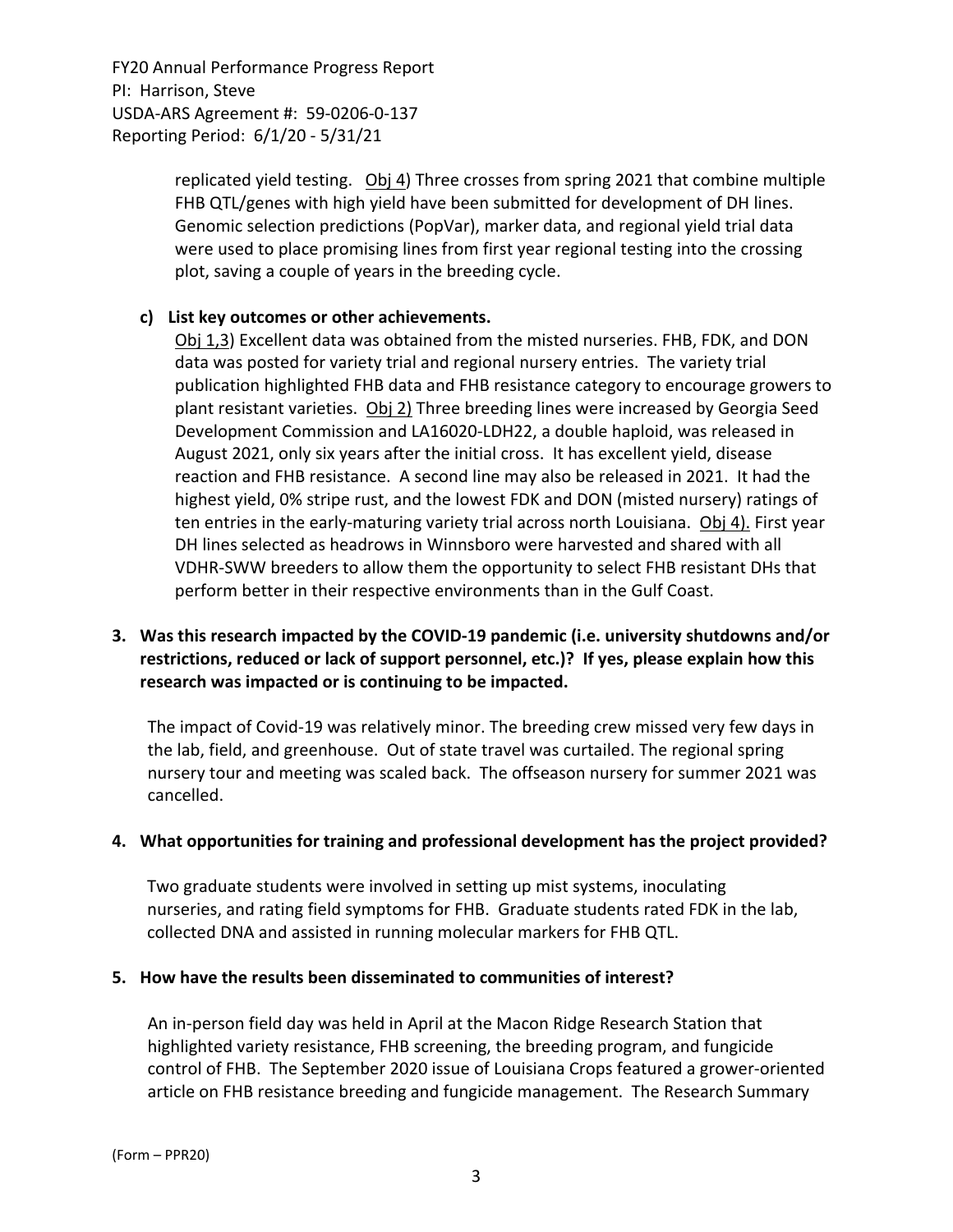> replicated yield testing. Obj 4) Three crosses from spring 2021 that combine multiple FHB QTL/genes with high yield have been submitted for development of DH lines. Genomic selection predictions (PopVar), marker data, and regional yield trial data were used to place promising lines from first year regional testing into the crossing plot, saving a couple of years in the breeding cycle.

## **c) List key outcomes or other achievements.**

Obj 1,3) Excellent data was obtained from the misted nurseries. FHB, FDK, and DON data was posted for variety trial and regional nursery entries. The variety trial publication highlighted FHB data and FHB resistance category to encourage growers to plant resistant varieties.  $Obj 2$  Three breeding lines were increased by Georgia Seed Development Commission and LA16020‐LDH22, a double haploid, was released in August 2021, only six years after the initial cross. It has excellent yield, disease reaction and FHB resistance. A second line may also be released in 2021. It had the highest yield, 0% stripe rust, and the lowest FDK and DON (misted nursery) ratings of ten entries in the early-maturing variety trial across north Louisiana. Obj 4). First year DH lines selected as headrows in Winnsboro were harvested and shared with all VDHR‐SWW breeders to allow them the opportunity to select FHB resistant DHs that perform better in their respective environments than in the Gulf Coast.

## **3. Was this research impacted by the COVID‐19 pandemic (i.e. university shutdowns and/or restrictions, reduced or lack of support personnel, etc.)? If yes, please explain how this research was impacted or is continuing to be impacted.**

The impact of Covid‐19 was relatively minor. The breeding crew missed very few days in the lab, field, and greenhouse. Out of state travel was curtailed. The regional spring nursery tour and meeting was scaled back. The offseason nursery for summer 2021 was cancelled.

#### **4. What opportunities for training and professional development has the project provided?**

Two graduate students were involved in setting up mist systems, inoculating nurseries, and rating field symptoms for FHB. Graduate students rated FDK in the lab, collected DNA and assisted in running molecular markers for FHB QTL.

#### **5. How have the results been disseminated to communities of interest?**

An in‐person field day was held in April at the Macon Ridge Research Station that highlighted variety resistance, FHB screening, the breeding program, and fungicide control of FHB. The September 2020 issue of Louisiana Crops featured a grower‐oriented article on FHB resistance breeding and fungicide management. The Research Summary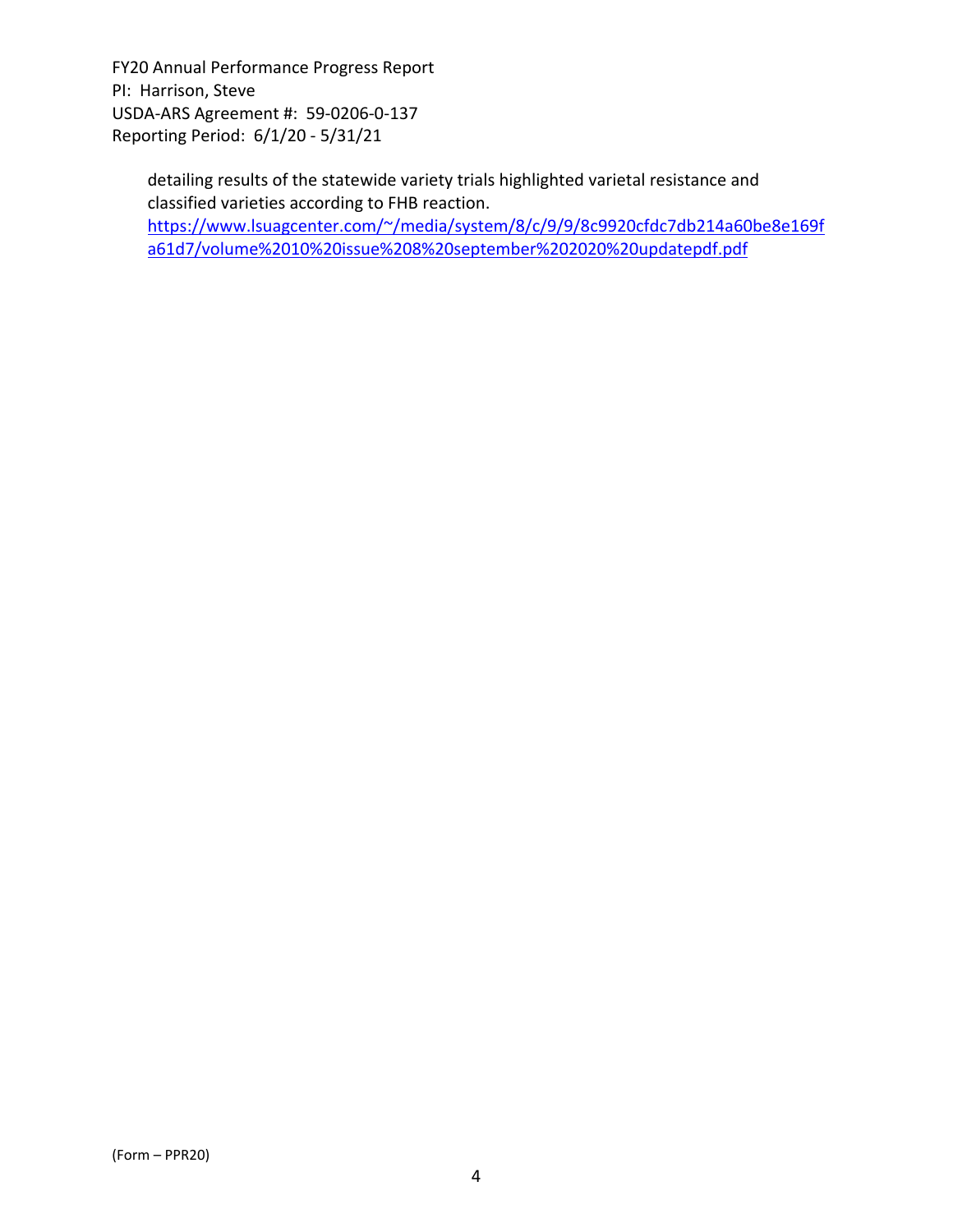> detailing results of the statewide variety trials highlighted varietal resistance and classified varieties according to FHB reaction. https://www.lsuagcenter.com/~/media/system/8/c/9/9/8c9920cfdc7db214a60be8e169f a61d7/volume%2010%20issue%208%20september%202020%20updatepdf.pdf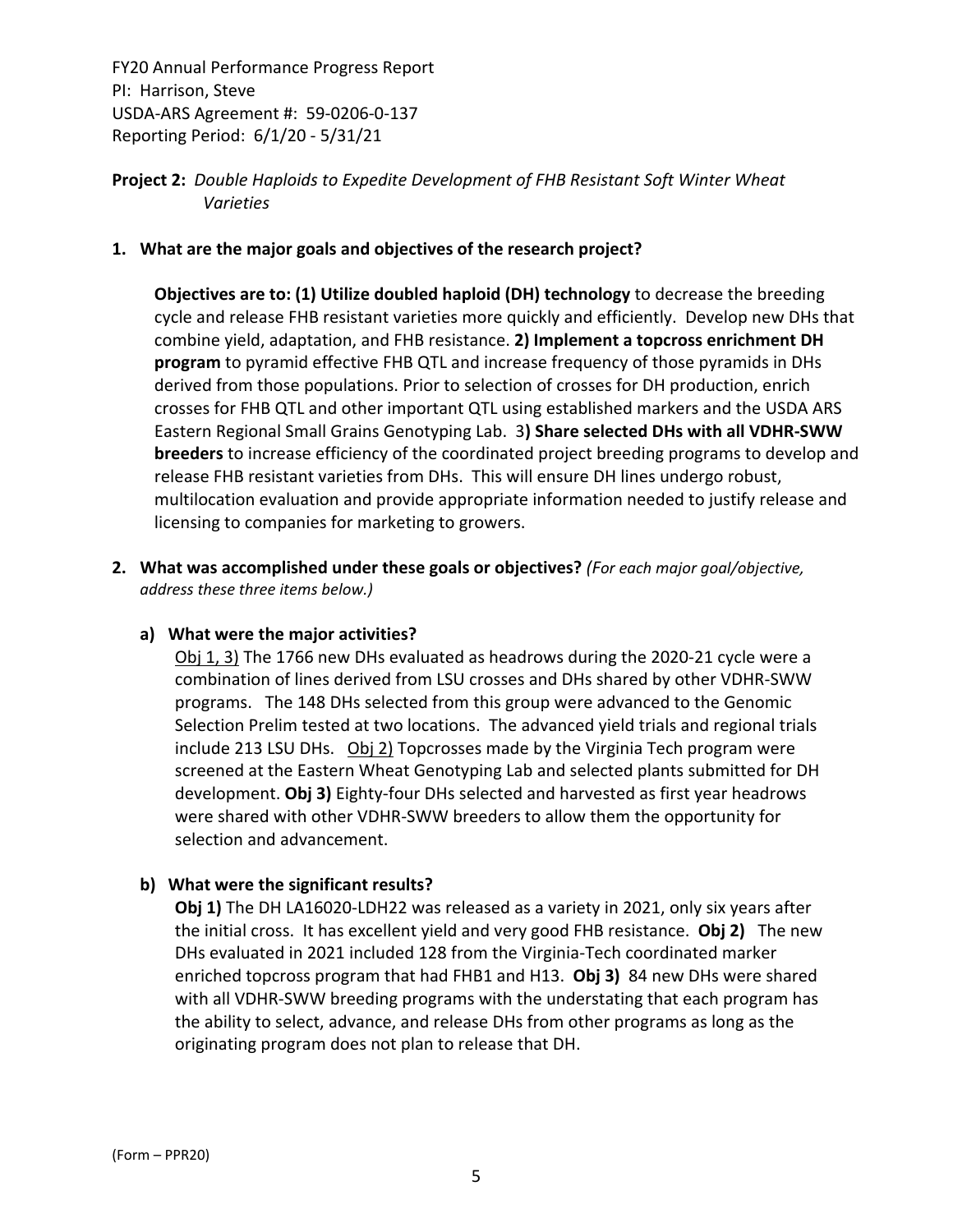## **Project 2:** *Double Haploids to Expedite Development of FHB Resistant Soft Winter Wheat Varieties*

#### **1. What are the major goals and objectives of the research project?**

**Objectives are to: (1) Utilize doubled haploid (DH) technology** to decrease the breeding cycle and release FHB resistant varieties more quickly and efficiently. Develop new DHs that combine yield, adaptation, and FHB resistance. **2) Implement a topcross enrichment DH program** to pyramid effective FHB QTL and increase frequency of those pyramids in DHs derived from those populations. Prior to selection of crosses for DH production, enrich crosses for FHB QTL and other important QTL using established markers and the USDA ARS Eastern Regional Small Grains Genotyping Lab. 3**) Share selected DHs with all VDHR‐SWW breeders** to increase efficiency of the coordinated project breeding programs to develop and release FHB resistant varieties from DHs. This will ensure DH lines undergo robust, multilocation evaluation and provide appropriate information needed to justify release and licensing to companies for marketing to growers.

**2. What was accomplished under these goals or objectives?** *(For each major goal/objective, address these three items below.)*

#### **a) What were the major activities?**

Obj 1, 3) The 1766 new DHs evaluated as headrows during the 2020‐21 cycle were a combination of lines derived from LSU crosses and DHs shared by other VDHR‐SWW programs. The 148 DHs selected from this group were advanced to the Genomic Selection Prelim tested at two locations. The advanced yield trials and regional trials include 213 LSU DHs. Obj 2) Topcrosses made by the Virginia Tech program were screened at the Eastern Wheat Genotyping Lab and selected plants submitted for DH development. **Obj 3)** Eighty‐four DHs selected and harvested as first year headrows were shared with other VDHR‐SWW breeders to allow them the opportunity for selection and advancement.

#### **b) What were the significant results?**

**Obj 1)** The DH LA16020‐LDH22 was released as a variety in 2021, only six years after the initial cross. It has excellent yield and very good FHB resistance. **Obj 2)** The new DHs evaluated in 2021 included 128 from the Virginia‐Tech coordinated marker enriched topcross program that had FHB1 and H13. **Obj 3)** 84 new DHs were shared with all VDHR-SWW breeding programs with the understating that each program has the ability to select, advance, and release DHs from other programs as long as the originating program does not plan to release that DH.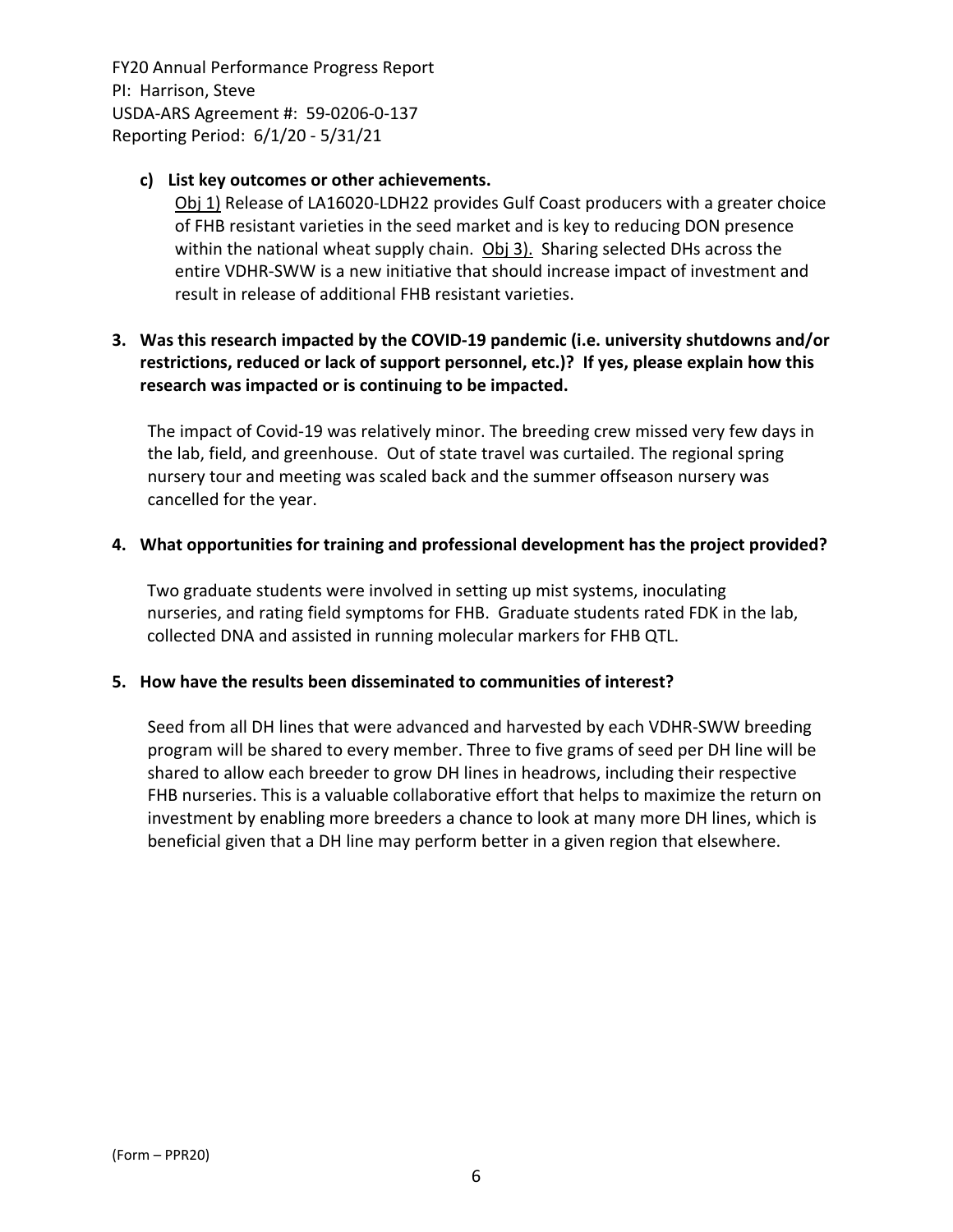#### **c) List key outcomes or other achievements.**

Obj 1) Release of LA16020‐LDH22 provides Gulf Coast producers with a greater choice of FHB resistant varieties in the seed market and is key to reducing DON presence within the national wheat supply chain. Obj 3). Sharing selected DHs across the entire VDHR‐SWW is a new initiative that should increase impact of investment and result in release of additional FHB resistant varieties.

## **3. Was this research impacted by the COVID‐19 pandemic (i.e. university shutdowns and/or restrictions, reduced or lack of support personnel, etc.)? If yes, please explain how this research was impacted or is continuing to be impacted.**

The impact of Covid‐19 was relatively minor. The breeding crew missed very few days in the lab, field, and greenhouse. Out of state travel was curtailed. The regional spring nursery tour and meeting was scaled back and the summer offseason nursery was cancelled for the year.

#### **4. What opportunities for training and professional development has the project provided?**

Two graduate students were involved in setting up mist systems, inoculating nurseries, and rating field symptoms for FHB. Graduate students rated FDK in the lab, collected DNA and assisted in running molecular markers for FHB QTL.

#### **5. How have the results been disseminated to communities of interest?**

Seed from all DH lines that were advanced and harvested by each VDHR‐SWW breeding program will be shared to every member. Three to five grams of seed per DH line will be shared to allow each breeder to grow DH lines in headrows, including their respective FHB nurseries. This is a valuable collaborative effort that helps to maximize the return on investment by enabling more breeders a chance to look at many more DH lines, which is beneficial given that a DH line may perform better in a given region that elsewhere.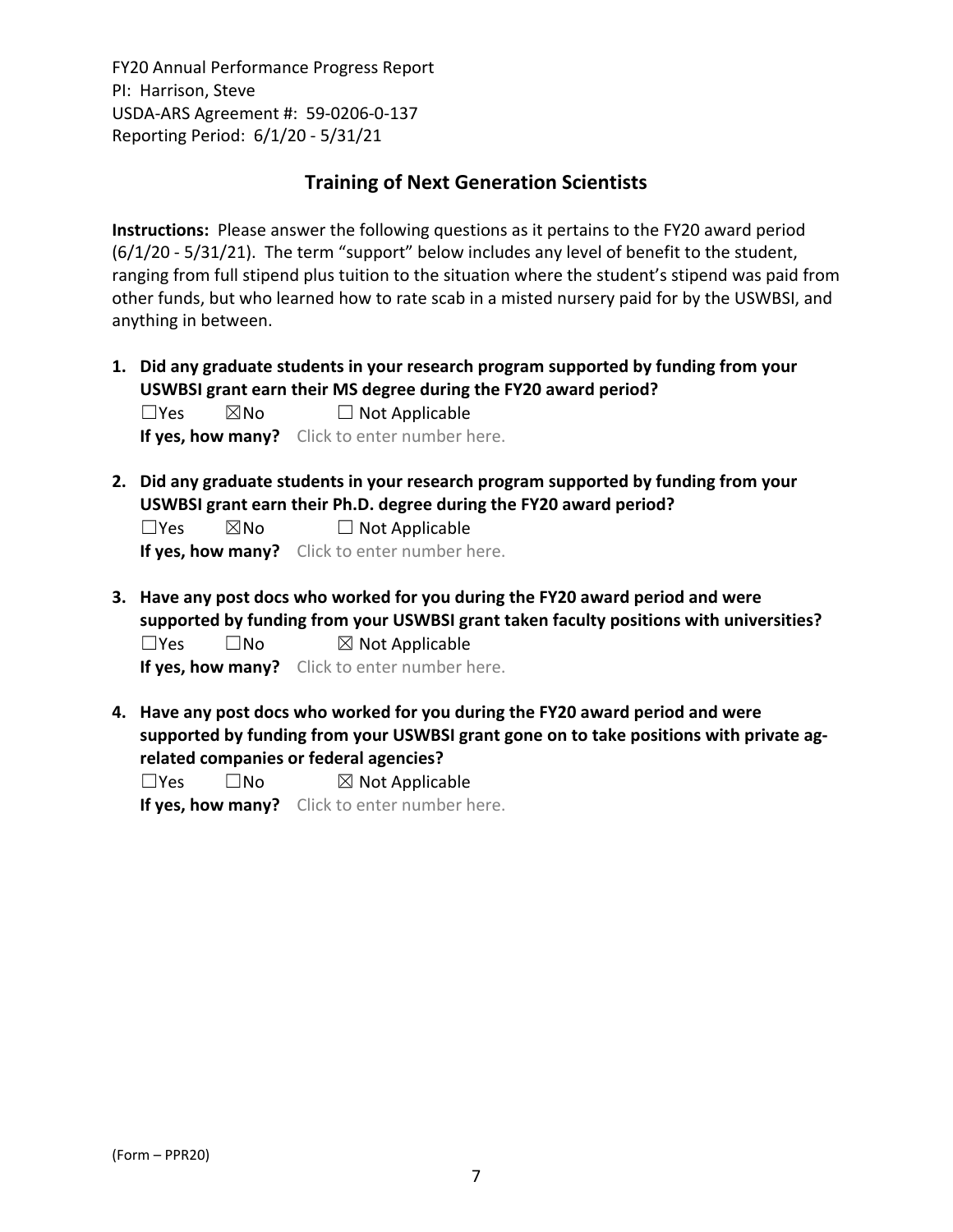## **Training of Next Generation Scientists**

**Instructions:** Please answer the following questions as it pertains to the FY20 award period (6/1/20 ‐ 5/31/21). The term "support" below includes any level of benefit to the student, ranging from full stipend plus tuition to the situation where the student's stipend was paid from other funds, but who learned how to rate scab in a misted nursery paid for by the USWBSI, and anything in between.

**1. Did any graduate students in your research program supported by funding from your USWBSI grant earn their MS degree during the FY20 award period?**  $\square$ Yes  $\square$ No  $\square$  Not Applicable

**If yes, how many?** Click to enter number here.

**2. Did any graduate students in your research program supported by funding from your USWBSI grant earn their Ph.D. degree during the FY20 award period?**

 $\square$ Yes  $\square$ No  $\square$  Not Applicable

**If yes, how many?** Click to enter number here.

**3. Have any post docs who worked for you during the FY20 award period and were supported by funding from your USWBSI grant taken faculty positions with universities?**  $\square$ Yes  $\square$ No  $\square$  Not Applicable

**If yes, how many?** Click to enter number here.

**4. Have any post docs who worked for you during the FY20 award period and were supported by funding from your USWBSI grant gone on to take positions with private ag‐ related companies or federal agencies?**

 $\square$ Yes  $\square$ No  $\square$  Not Applicable **If yes, how many?** Click to enter number here.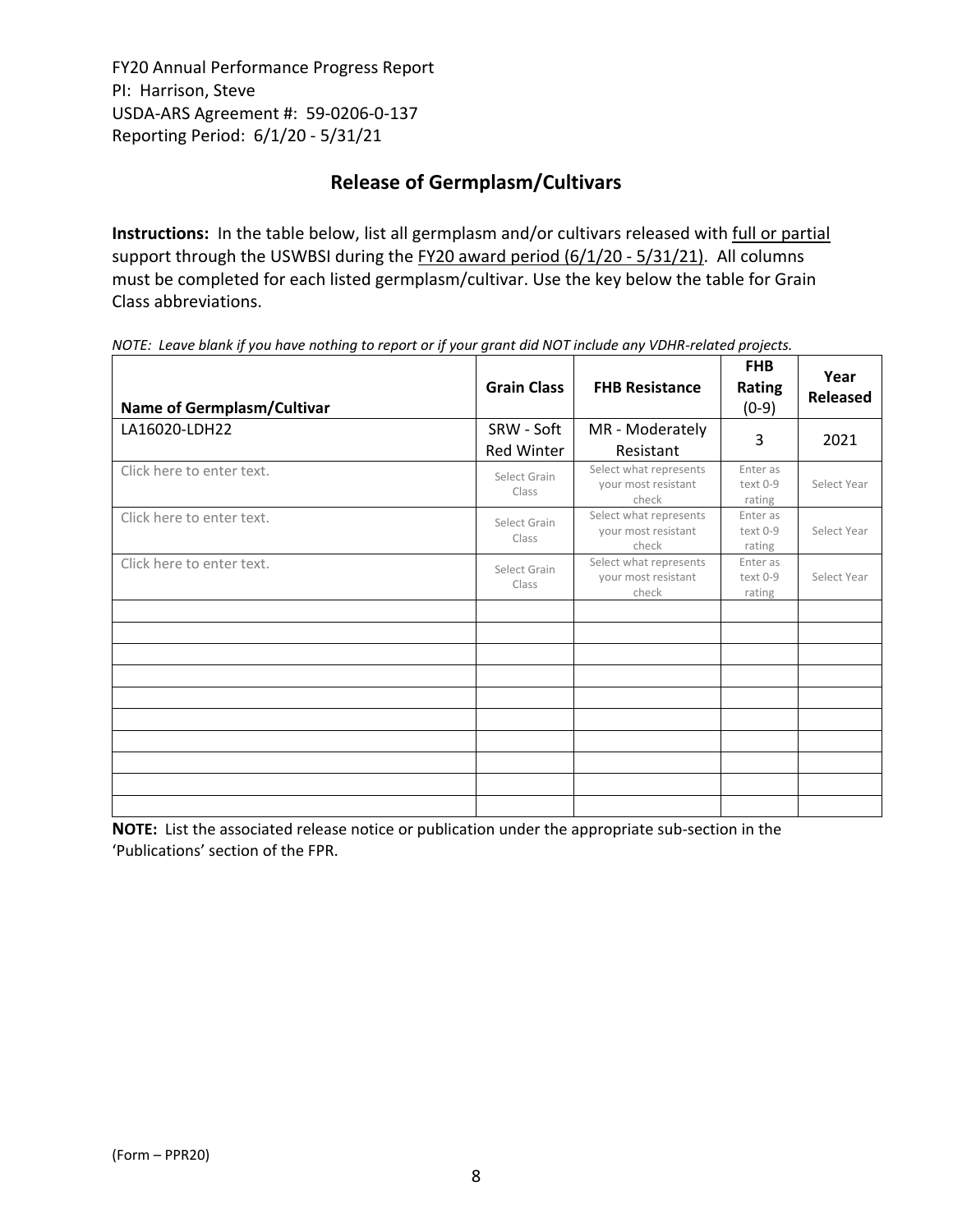# **Release of Germplasm/Cultivars**

**Instructions:** In the table below, list all germplasm and/or cultivars released with full or partial support through the USWBSI during the FY20 award period (6/1/20 - 5/31/21). All columns must be completed for each listed germplasm/cultivar. Use the key below the table for Grain Class abbreviations. 

| <b>Name of Germplasm/Cultivar</b> | <b>Grain Class</b>              | <b>FHB Resistance</b>                                  | <b>FHB</b><br><b>Rating</b><br>$(0-9)$ | Year<br>Released |
|-----------------------------------|---------------------------------|--------------------------------------------------------|----------------------------------------|------------------|
| LA16020-LDH22                     | SRW - Soft<br><b>Red Winter</b> | MR - Moderately<br>Resistant                           | 3                                      | 2021             |
| Click here to enter text.         | Select Grain<br>Class           | Select what represents<br>your most resistant<br>check | Enter as<br>text 0-9<br>rating         | Select Year      |
| Click here to enter text.         | Select Grain<br>Class           | Select what represents<br>your most resistant<br>check | Enter as<br>text 0-9<br>rating         | Select Year      |
| Click here to enter text.         | Select Grain<br>Class           | Select what represents<br>your most resistant<br>check | Enter as<br>text 0-9<br>rating         | Select Year      |
|                                   |                                 |                                                        |                                        |                  |
|                                   |                                 |                                                        |                                        |                  |
|                                   |                                 |                                                        |                                        |                  |
|                                   |                                 |                                                        |                                        |                  |
|                                   |                                 |                                                        |                                        |                  |

NOTE: Leave blank if you have nothing to report or if your grant did NOT include any VDHR-related projects.

**NOTE:** List the associated release notice or publication under the appropriate sub-section in the 'Publications' section of the FPR.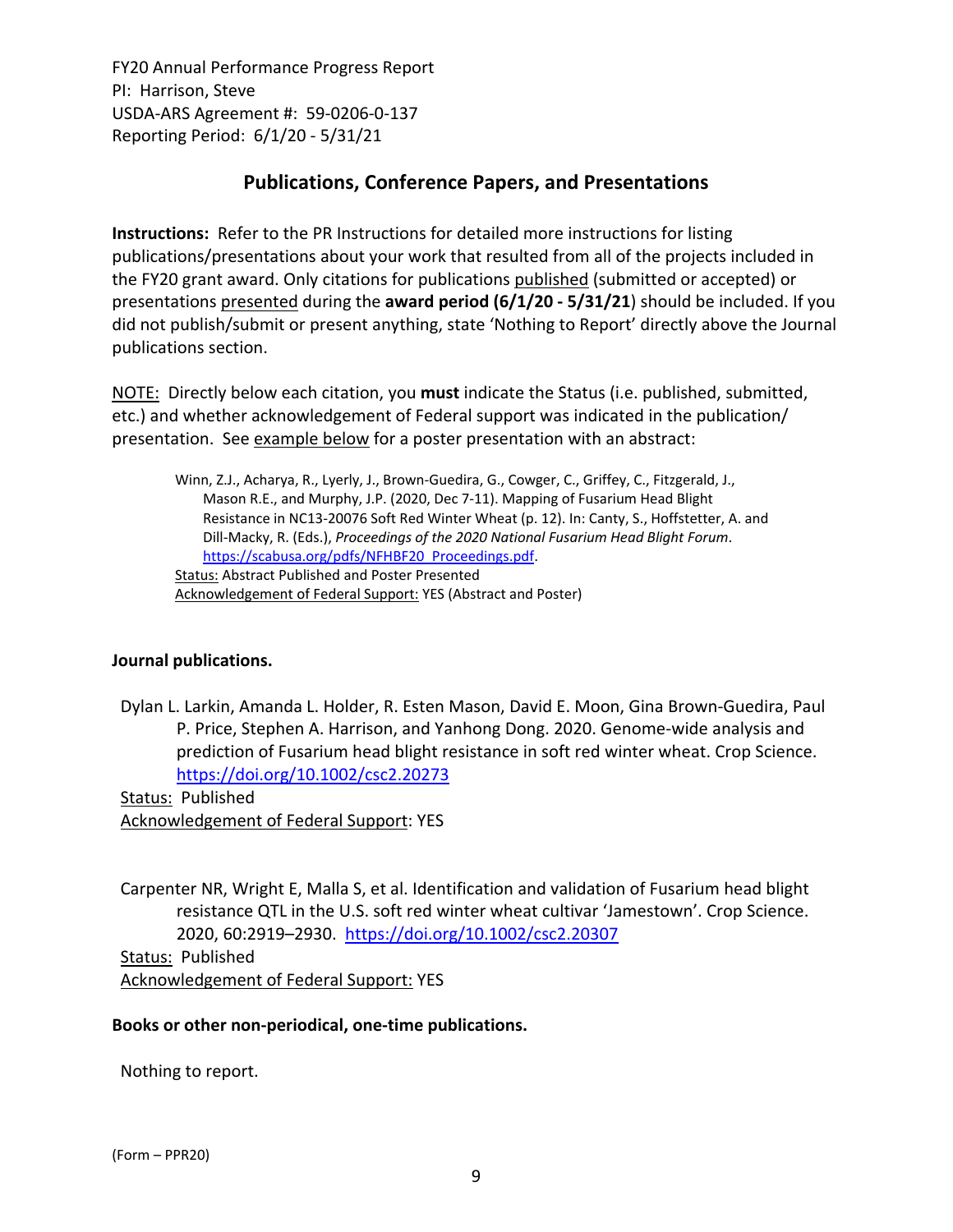# **Publications, Conference Papers, and Presentations**

**Instructions:** Refer to the PR Instructions for detailed more instructions for listing publications/presentations about your work that resulted from all of the projects included in the FY20 grant award. Only citations for publications published (submitted or accepted) or presentations presented during the **award period (6/1/20 ‐ 5/31/21**) should be included. If you did not publish/submit or present anything, state 'Nothing to Report' directly above the Journal publications section.

NOTE: Directly below each citation, you **must** indicate the Status (i.e. published, submitted, etc.) and whether acknowledgement of Federal support was indicated in the publication/ presentation. See example below for a poster presentation with an abstract:

Winn, Z.J., Acharya, R., Lyerly, J., Brown‐Guedira, G., Cowger, C., Griffey, C., Fitzgerald, J., Mason R.E., and Murphy, J.P. (2020, Dec 7‐11). Mapping of Fusarium Head Blight Resistance in NC13‐20076 Soft Red Winter Wheat (p. 12). In: Canty, S., Hoffstetter, A. and Dill‐Macky, R. (Eds.), *Proceedings of the 2020 National Fusarium Head Blight Forum*. https://scabusa.org/pdfs/NFHBF20\_Proceedings.pdf. Status: Abstract Published and Poster Presented Acknowledgement of Federal Support: YES (Abstract and Poster)

#### **Journal publications.**

Dylan L. Larkin, Amanda L. Holder, R. Esten Mason, David E. Moon, Gina Brown‐Guedira, Paul P. Price, Stephen A. Harrison, and Yanhong Dong. 2020. Genome‐wide analysis and prediction of Fusarium head blight resistance in soft red winter wheat. Crop Science. https://doi.org/10.1002/csc2.20273

Status: Published Acknowledgement of Federal Support: YES

Carpenter NR, Wright E, Malla S, et al. Identification and validation of Fusarium head blight resistance QTL in the U.S. soft red winter wheat cultivar 'Jamestown'. Crop Science. 2020, 60:2919–2930. https://doi.org/10.1002/csc2.20307 Status: Published Acknowledgement of Federal Support: YES

#### **Books or other non‐periodical, one‐time publications.**

Nothing to report.